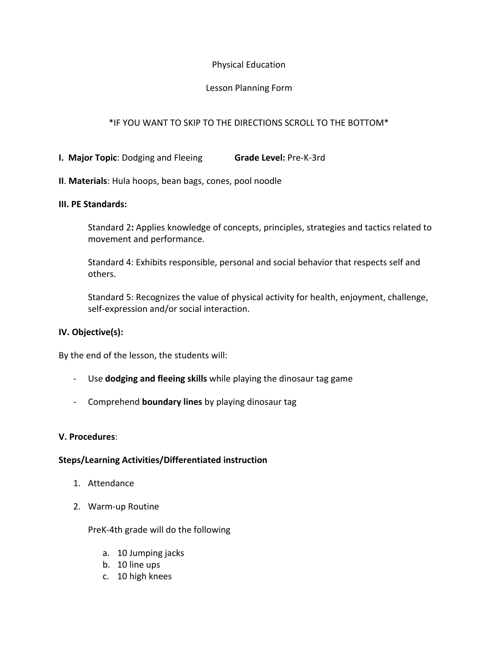## Physical Education

### Lesson Planning Form

## \*IF YOU WANT TO SKIP TO THE DIRECTIONS SCROLL TO THE BOTTOM\*

- **I. Major Topic**: Dodging and Fleeing **Grade Level:** Pre-K-3rd
- **II**. **Materials**: Hula hoops, bean bags, cones, pool noodle

#### **III. PE Standards:**

Standard 2**:** Applies knowledge of concepts, principles, strategies and tactics related to movement and performance.

Standard 4: Exhibits responsible, personal and social behavior that respects self and others.

Standard 5: Recognizes the value of physical activity for health, enjoyment, challenge, self-expression and/or social interaction.

## **IV. Objective(s):**

By the end of the lesson, the students will:

- Use **dodging and fleeing skills** while playing the dinosaur tag game
- Comprehend **boundary lines** by playing dinosaur tag

#### **V. Procedures**:

#### **Steps/Learning Activities/Differentiated instruction**

- 1. Attendance
- 2. Warm-up Routine

PreK-4th grade will do the following

- a. 10 Jumping jacks
- b. 10 line ups
- c. 10 high knees